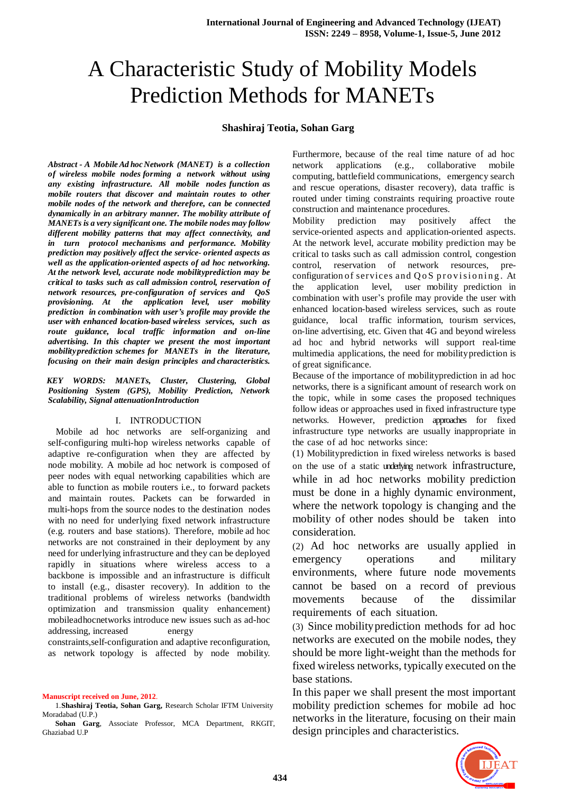# A Characteristic Study of Mobility Models Prediction Methods for MANETs

## **Shashiraj Teotia, Sohan Garg**

*Abstract - A MobileAd hocNetwork (MANET) is a collection of wireless mobile nodes forming a network without using any existing infrastructure. All mobile nodes function as mobile routers that discover and maintain routes to other mobile nodes of the network and therefore, can be connected dynamically in an arbitrary manner. The mobility attribute of MANETs is a very significant one. The mobile nodes may follow different mobility patterns that may affect connectivity, and in turn protocol mechanisms and performance. Mobility prediction may positively affect the service- oriented aspects as well as the application-oriented aspects of ad hoc networking. At the network level, accurate node mobilityprediction may be critical to tasks such as call admission control, reservation of network resources, pre-configuration of services and QoS provisioning. At the application level, user mobility prediction in combination with user's profile may provide the user with enhanced location-based wireless services, such as route guidance, local traffic information and on-line advertising. In this chapter we present the most important mobilityprediction schemes for MANETs in the literature, focusing on their main design principles and characteristics.*

*KEY WORDS: MANETs, Cluster, Clustering, Global Positioning System (GPS), Mobility Prediction, Network Scalability, Signal attenuationIntroduction*

## I. INTRODUCTION

 Mobile ad hoc networks are self-organizing and self-configuring multi-hop wireless networks capable of adaptive re-configuration when they are affected by node mobility. A mobile ad hoc network is composed of peer nodes with equal networking capabilities which are able to function as mobile routers i.e., to forward packets and maintain routes. Packets can be forwarded in multi-hops from the source nodes to the destination nodes with no need for underlying fixed network infrastructure (e.g. routers and base stations). Therefore, mobile ad hoc networks are not constrained in their deployment by any need for underlying infrastructure and they can be deployed rapidly in situations where wireless access to a backbone is impossible and an infrastructure is difficult to install (e.g., disaster recovery). In addition to the traditional problems of wireless networks (bandwidth optimization and transmission quality enhancement) mobileadhocnetworks introduce new issues such as ad-hoc addressing, increased energy

constraints,self-configuration and adaptive reconfiguration, as network topology is affected by node mobility.

**Manuscript received on June, 2012**.

1.**Shashiraj Teotia, Sohan Garg,** Research Scholar IFTM University Moradabad (U.P.)

**Sohan Garg**, Associate Professor, MCA Department, RKGIT, Ghaziabad U.P

Furthermore, because of the real time nature of ad hoc network applications (e.g., collaborative mobile computing, battlefield communications, emergency search and rescue operations, disaster recovery), data traffic is routed under timing constraints requiring proactive route construction and maintenance procedures.

Mobility prediction may positively affect the service-oriented aspects and application-oriented aspects. At the network level, accurate mobility prediction may be critical to tasks such as call admission control, congestion control, reservation of network resources, preconfiguration of services and Q o S provisioning. At the application level, user mobility prediction in combination with user"s profile may provide the user with enhanced location-based wireless services, such as route guidance, local traffic information, tourism services, on-line advertising, etc. Given that 4G and beyond wireless ad hoc and hybrid networks will support real-time multimedia applications, the need for mobilityprediction is of great significance.

Because of the importance of mobilityprediction in ad hoc networks, there is a significant amount of research work on the topic, while in some cases the proposed techniques follow ideas or approaches used in fixed infrastructure type networks. However, prediction approaches for fixed infrastructure type networks are usually inappropriate in the case of ad hoc networks since:

(1) Mobility prediction in fixed wireless networks is based on the use of a static underlying network infrastructure, while in ad hoc networks mobility prediction must be done in a highly dynamic environment, where the network topology is changing and the mobility of other nodes should be taken into consideration.

(2) Ad hoc networks are usually applied in emergency operations and military environments, where future node movements cannot be based on a record of previous movements because of the dissimilar requirements of each situation.

(3) Since mobilityprediction methods for ad hoc networks are executed on the mobile nodes, they should be more light-weight than the methods for fixed wireless networks, typically executed on the base stations.

In this paper we shall present the most important mobility prediction schemes for mobile ad hoc networks in the literature, focusing on their main design principles and characteristics.

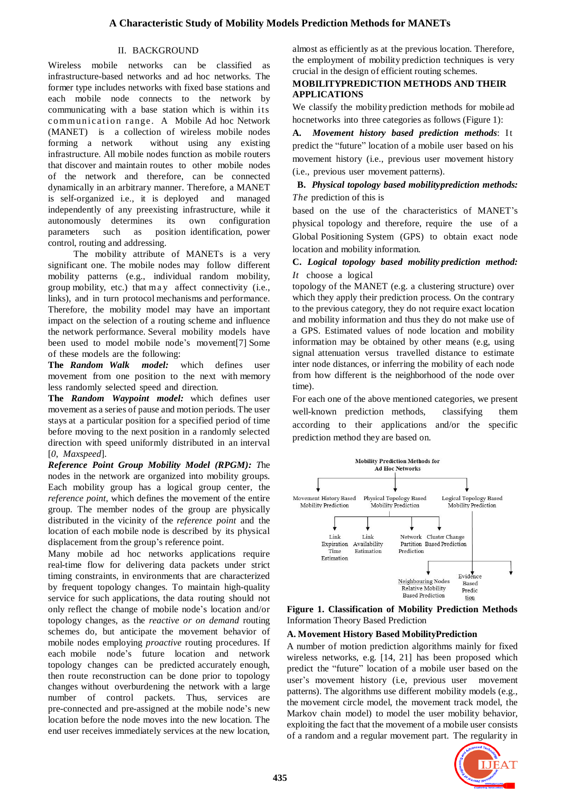# II. BACKGROUND

Wireless mobile networks can be classified as infrastructure-based networks and ad hoc networks. The former type includes networks with fixed base stations and each mobile node connects to the network by communicating with a base station which is within its communication range. A Mobile Ad hoc Network (MANET) is a collection of wireless mobile nodes forming a network without using any existing infrastructure. All mobile nodes function as mobile routers that discover and maintain routes to other mobile nodes of the network and therefore, can be connected dynamically in an arbitrary manner. Therefore, a MANET is self-organized i.e., it is deployed and managed independently of any preexisting infrastructure, while it autonomously determines its own configuration parameters such as position identification, power control, routing and addressing.

The mobility attribute of MANETs is a very significant one. The mobile nodes may follow different mobility patterns (e.g., individual random mobility, group mobility, etc.) that m a y affect connectivity (i.e., links), and in turn protocol mechanisms and performance. Therefore, the mobility model may have an important impact on the selection of a routing scheme and influence the network performance. Several mobility models have been used to model mobile node's movement[7] Some of these models are the following:

**The** *Random Walk model:* which defines user movement from one position to the next with memory less randomly selected speed and direction.

**The** *Random Waypoint model:* which defines user movement as a series of pause and motion periods. The user stays at a particular position for a specified period of time before moving to the next position in a randomly selected direction with speed uniformly distributed in an interval [*0*, *Maxspeed*]*.*

*Reference Point Group Mobility Model (RPGM): T*he nodes in the network are organized into mobility groups. Each mobility group has a logical group center, the *reference point*, which defines the movement of the entire group. The member nodes of the group are physically distributed in the vicinity of the *reference point* and the location of each mobile node is described by its physical displacement from the group"s reference point.

Many mobile ad hoc networks applications require real-time flow for delivering data packets under strict timing constraints, in environments that are characterized by frequent topology changes. To maintain high-quality service for such applications, the data routing should not only reflect the change of mobile node"s location and/or topology changes, as the *reactive or on demand* routing schemes do, but anticipate the movement behavior of mobile nodes employing *proactive* routing procedures. If each mobile node"s future location and network topology changes can be predicted accurately enough, then route reconstruction can be done prior to topology changes without overburdening the network with a large number of control packets. Thus, services are pre-connected and pre-assigned at the mobile node"s new location before the node moves into the new location. The end user receives immediately services at the new location,

almost as efficiently as at the previous location. Therefore, the employment of mobility prediction techniques is very crucial in the design of efficient routing schemes.

# **MOBILITYPREDICTION METHODS AND THEIR APPLICATIONS**

We classify the mobility prediction methods for mobile ad hocnetworks into three categories as follows (Figure 1):

**A.** *Movement history based prediction methods*: It predict the "future" location of a mobile user based on his movement history (i.e., previous user movement history (i.e., previous user movement patterns).

# **B.** *Physical topology based mobilityprediction methods: The* prediction of this is

based on the use of the characteristics of MANET"s physical topology and therefore, require the use of a Global Positioning System (GPS) to obtain exact node location and mobility information.

# **C.** *Logical topology based mobility prediction method: It* choose a logical

topology of the MANET (e.g. a clustering structure) over which they apply their prediction process. On the contrary to the previous category, they do not require exact location and mobility information and thus they do not make use of a GPS. Estimated values of node location and mobility information may be obtained by other means (e.g, using signal attenuation versus travelled distance to estimate inter node distances, or inferring the mobility of each node from how different is the neighborhood of the node over time).

For each one of the above mentioned categories, we present well-known prediction methods, classifying them according to their applications and/or the specific prediction method they are based on.



**Figure 1. Classification of Mobility Prediction Methods**  Information Theory Based Prediction

# **A. Movement History Based MobilityPrediction**

A number of motion prediction algorithms mainly for fixed wireless networks, e.g. [14, 21] has been proposed which predict the "future" location of a mobile user based on the user"s movement history (i.e, previous user movement patterns). The algorithms use different mobility models (e.g., the movement circle model, the movement track model, the Markov chain model) to model the user mobility behavior, exploiting the fact that the movement of a mobile user consists of a random and a regular movement part. The regularity in

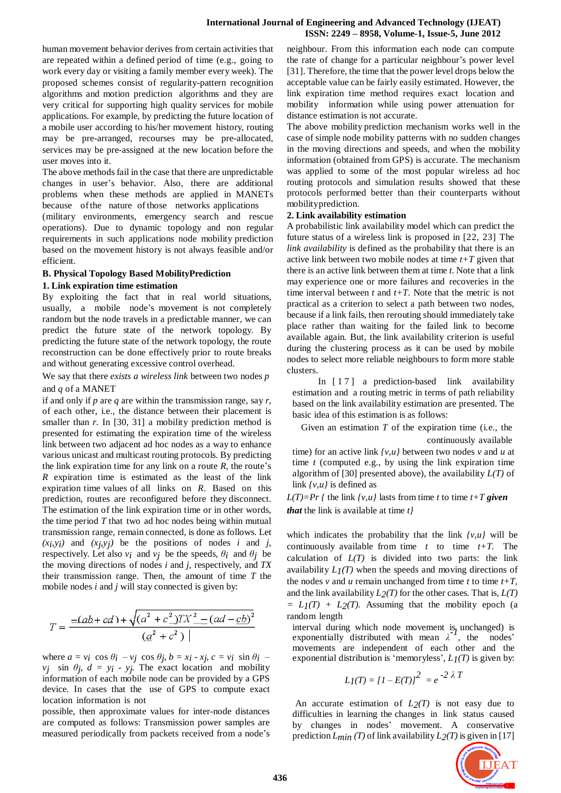human movement behavior derives from certain activities that are repeated within a defined period of time (e.g., going to work every day or visiting a family member every week). The proposed schemes consist of regularity-pattern recognition algorithms and motion prediction algorithms and they are very critical for supporting high quality services for mobile applications. For example, by predicting the future location of a mobile user according to his/her movement history, routing may be pre-arranged, recourses may be pre-allocated, services may be pre-assigned at the new location before the user moves into it.

The above methods fail in the case that there are unpredictable changes in user"s behavior. Also, there are additional problems when these methods are applied in MANETs because ofthe nature ofthose networks applications

(military environments, emergency search and rescue operations). Due to dynamic topology and non regular requirements in such applications node mobility prediction based on the movement history is not always feasible and/or efficient.

#### **B. Physical Topology Based MobilityPrediction**

#### **1. Link expiration time estimation**

By exploiting the fact that in real world situations, usually, a mobile node's movement is not completely random but the node travels in a predictable manner, we can predict the future state of the network topology. By predicting the future state of the network topology, the route reconstruction can be done effectively prior to route breaks and without generating excessive control overhead.

We say that there *exists a wireless link* between two nodes *p* and *q* of a MANET

if and only if *p* are *q* are within the transmission range, say *r*, of each other, i.e., the distance between their placement is smaller than *r*. In [30, 31] a mobility prediction method is presented for estimating the expiration time of the wireless link between two adjacent ad hoc nodes as a way to enhance various unicast and multicast routing protocols. By predicting the link expiration time for any link on a route *, the route's R* expiration time is estimated as the least of the link expiration time values of all links on *R*. Based on this prediction, routes are reconfigured before they disconnect. The estimation of the link expiration time or in other words, the time period *T* that two ad hoc nodes being within mutual transmission range, remain connected, is done as follows. Let  $(x_i, y_i)$  and  $(x_j, y_j)$  be the positions of nodes *i* and *j*, respectively. Let also  $v_i$  and  $v_j$  be the speeds,  $\theta_i$  and  $\theta_j$  be the moving directions of nodes *i* and *j*, respectively, and *TX* their transmission range. Then, the amount of time *T* the mobile nodes *i* and *j* will stay connected is given by:

$$
T = \frac{-(ab+cd) + \sqrt{(a^2 + c^2)TX^2 - (ad - cb)^2}}{(a^2 + c^2)}
$$

where  $a = v_i \cos \theta_i - v_j \cos \theta_j$ ,  $b = x_i \cdot x_j$ ,  $c = v_i \sin \theta_i$ *vj* sin  $\theta_j$ ,  $d = y_i - y_j$ . The exact location and mobility information of each mobile node can be provided by a GPS device. In cases that the use of GPS to compute exact location information is not

possible, then approximate values for inter-node distances are computed as follows: Transmission power samples are measured periodically from packets received from a node"s neighbour. From this information each node can compute the rate of change for a particular neighbour"s power level [31]. Therefore, the time that the power level drops below the acceptable value can be fairly easily estimated. However, the link expiration time method requires exact location and mobility information while using power attenuation for distance estimation is not accurate.

The above mobility prediction mechanism works well in the case of simple node mobility patterns with no sudden changes in the moving directions and speeds, and when the mobility information (obtained from GPS) is accurate. The mechanism was applied to some of the most popular wireless ad hoc routing protocols and simulation results showed that these protocols performed better than their counterparts without mobilityprediction.

#### **2. Link availability estimation**

A probabilistic link availability model which can predict the future status of a wireless link is proposed in [22, 23] The *link availability* is defined as the probability that there is an active link between two mobile nodes at time *t+T* given that there is an active link between them at time *t*. Note that a link may experience one or more failures and recoveries in the time interval between *t* and *t+T*. Note that the metric is not practical as a criterion to select a path between two nodes, because if a link fails, then rerouting should immediately take place rather than waiting for the failed link to become available again. But, the link availability criterion is useful during the clustering process as it can be used by mobile nodes to select more reliable neighbours to form more stable clusters.

In [17] a prediction-based link availability estimation and a routing metric in terms of path reliability based on the link availability estimation are presented. The basic idea of this estimation is as follows:

Given an estimation *T* of the expiration time (i.e., the

continuously available time) for an active link *{v,u}* between two nodes *v* and *u* at time *t* (computed e.g., by using the link expiration time algorithm of [30] presented above), the availability  $L(T)$  of link *{v,u}* is defined as

*L(T)=Pr {* the link  $\{v, u\}$  lasts from time *t* to time  $t+T$  *given that* the link is available at time *t}*

which indicates the probability that the link *{v,u}* will be continuously available from time  $t$  to time  $t+T$ . The calculation of  $L(T)$  is divided into two parts: the link availability  $L_I(T)$  when the speeds and moving directions of the nodes  $v$  and  $u$  remain unchanged from time  $t$  to time  $t+T$ , and the link availability  $L_2(T)$  for the other cases. That is,  $L(T)$  $= L_1(T) + L_2(T)$ . Assuming that the mobility epoch (a random length

interval during which node movement is unchanged) is<br>*arrongentially distributed with moon*  $1<sup>2</sup>I$  the nodes<sup>2</sup> exponentially distributed with mean  $\lambda^{-1}$ , the nodes' movements are independent of each other and the exponential distribution is 'memoryless',  $L/(T)$  is given by:

$$
L_I(T) = [1 - E(T)]^2 = e^{-2 \lambda T}
$$

An accurate estimation of  $L_2(T)$  is not easy due to difficulties in learning the changes in link status caused by changes in nodes" movement. A conservative prediction  $L_{min}(T)$  of link availability  $L_2(T)$  is given in [17]

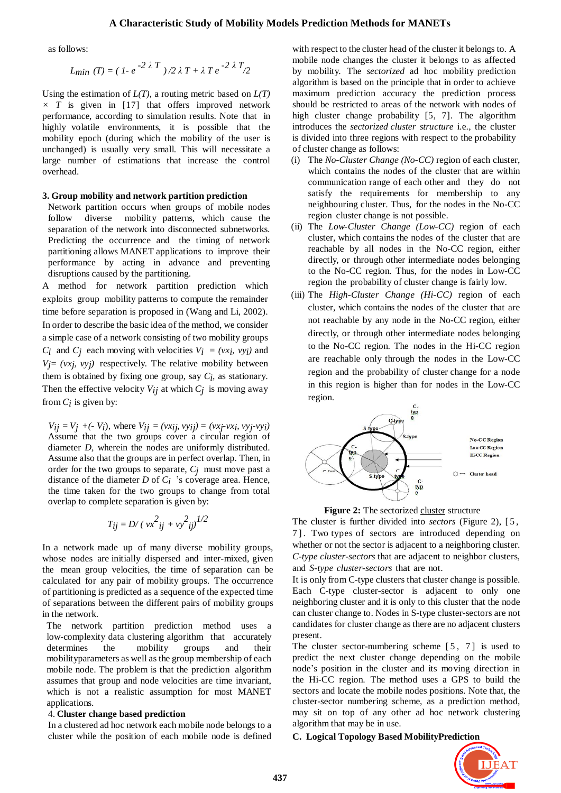## **A Characteristic Study of Mobility Models Prediction Methods for MANETs**

as follows:

*Lmin* (T) = 
$$
(1 - e^{-2 \lambda T})/2 \lambda T + \lambda T e^{-2 \lambda T}/2
$$

Using the estimation of *L(T),* a routing metric based on *L(T)*  $\times$  *T* is given in [17] that offers improved network performance, according to simulation results. Note that in highly volatile environments, it is possible that the mobility epoch (during which the mobility of the user is unchanged) is usually very small. This will necessitate a large number of estimations that increase the control overhead.

#### **3. Group mobility and network partition prediction**

Network partition occurs when groups of mobile nodes follow diverse mobility patterns, which cause the separation of the network into disconnected subnetworks. Predicting the occurrence and the timing of network partitioning allows MANET applications to improve their performance by acting in advance and preventing disruptions caused by the partitioning.

A method for network partition prediction which exploits group mobility patterns to compute the remainder time before separation is proposed in (Wang and Li, 2002). In order to describe the basic idea of the method, we consider a simple case of a network consisting of two mobility groups *C<sub>i</sub>* and *C<sub>j</sub>* each moving with velocities  $V_i = (vx_i, vy_i)$  and  $V_j = (vx_j, vy_j)$  respectively. The relative mobility between them is obtained by fixing one group, say  $C_i$ , as stationary. Then the effective velocity  $V_{ij}$  at which  $C_j$  is moving away from  $C_i$  is given by:

 $V_{ij} = V_j + (-V_i)$ , where  $V_{ij} = (vx_{ij}, vy_{ij}) = (vx_j-vx_i, vy_j-vy_i)$ Assume that the two groups cover a circular region of diameter *D,* wherein the nodes are uniformly distributed. Assume also that the groups are in perfect overlap. Then, in order for the two groups to separate, *Cj* must move past a distance of the diameter *D* of *Ci* "s coverage area. Hence, the time taken for the two groups to change from total overlap to complete separation is given by:

$$
T_{ij} = D / (\nu x^2_{ij} + \nu y^2_{ij})^{1/2}
$$

In a network made up of many diverse mobility groups, whose nodes are initially dispersed and inter-mixed, given the mean group velocities, the time of separation can be calculated for any pair of mobility groups. The occurrence of partitioning is predicted as a sequence of the expected time of separations between the different pairs of mobility groups in the network.

The network partition prediction method uses a low-complexity data clustering algorithm that accurately determines the mobility groups and their mobilityparameters as well asthe group membership of each mobile node. The problem is that the prediction algorithm assumes that group and node velocities are time invariant, which is not a realistic assumption for most MANET applications.

#### 4. **Cluster change based prediction**

In a clustered ad hoc network each mobile node belongs to a cluster while the position of each mobile node is defined

with respect to the cluster head of the cluster it belongs to. A mobile node changes the cluster it belongs to as affected by mobility. The *sectorized* ad hoc mobility prediction algorithm is based on the principle that in order to achieve maximum prediction accuracy the prediction process should be restricted to areas of the network with nodes of high cluster change probability [5, 7]. The algorithm introduces the *sectorized cluster structure* i.e., the cluster is divided into three regions with respect to the probability of cluster change as follows:

- (i) The *No-Cluster Change (No-CC)* region of each cluster, which contains the nodes of the cluster that are within communication range of each other and they do not satisfy the requirements for membership to any neighbouring cluster. Thus, for the nodes in the No-CC region cluster change is not possible.
- (ii) The *Low-Cluster Change (Low-CC)* region of each cluster, which contains the nodes of the cluster that are reachable by all nodes in the No-CC region, either directly, or through other intermediate nodes belonging to the No-CC region. Thus, for the nodes in Low-CC region the probability of cluster change is fairly low.
- (iii) The *High-Cluster Change (Hi-CC)* region of each cluster, which contains the nodes of the cluster that are not reachable by any node in the No-CC region, either directly, or through other intermediate nodes belonging to the No-CC region. The nodes in the Hi-CC region are reachable only through the nodes in the Low-CC region and the probability of cluster change for a node in this region is higher than for nodes in the Low-CC region.



**Figure 2:** The sectorized cluster structure

The cluster is further divided into *sectors* (Figure 2), [5, 7 ]. Two types of sectors are introduced depending on whether or not the sector is adjacent to a neighboring cluster. *C-type cluster-sectors* that are adjacent to neighbor clusters, and *S-type cluster-sectors* that are not.

It is only from C-type clusters that cluster change is possible. Each C-type cluster-sector is adjacent to only one neighboring cluster and it is only to this cluster that the node can cluster change to. Nodes in S-type cluster-sectors are not candidates for cluster change as there are no adjacent clusters present.

The cluster sector-numbering scheme  $[5, 7]$  is used to predict the next cluster change depending on the mobile node"s position in the cluster and its moving direction in the Hi-CC region. The method uses a GPS to build the sectors and locate the mobile nodes positions. Note that, the cluster-sector numbering scheme, as a prediction method, may sit on top of any other ad hoc network clustering algorithm that may be in use.

#### **C. Logical Topology Based MobilityPrediction**

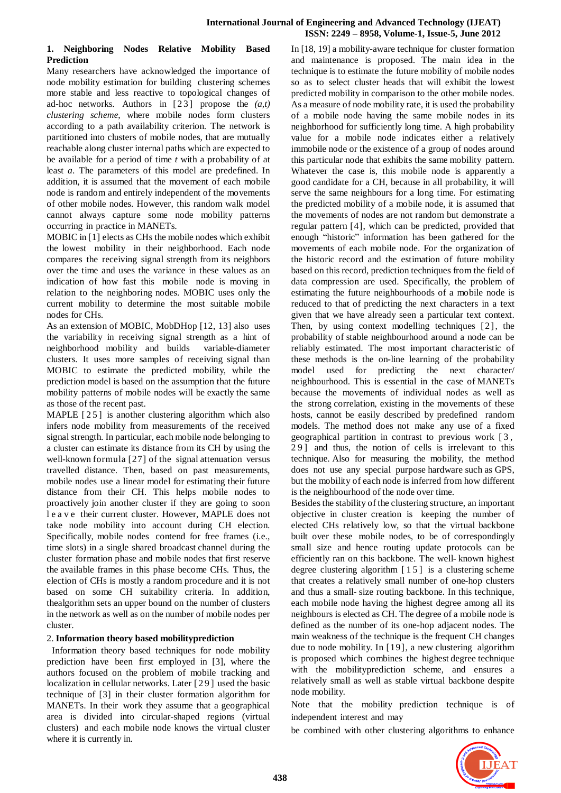## **International Journal of Engineering and Advanced Technology (IJEAT) ISSN: 2249 – 8958, Volume-1, Issue-5, June 2012**

## **1. Neighboring Nodes Relative Mobility Based Prediction**

Many researchers have acknowledged the importance of node mobility estimation for building clustering schemes more stable and less reactive to topological changes of ad-hoc networks. Authors in [ 2 3 ] propose the *(a,t) clustering scheme*, where mobile nodes form clusters according to a path availability criterion. The network is partitioned into clusters of mobile nodes, that are mutually reachable along cluster internal paths which are expected to be available for a period of time *t* with a probability of at least *a*. The parameters of this model are predefined. In addition, it is assumed that the movement of each mobile node is random and entirely independent of the movements of other mobile nodes. However, this random walk model cannot always capture some node mobility patterns occurring in practice in MANETs.

MOBIC in [1] elects as CHs the mobile nodes which exhibit the lowest mobility in their neighborhood. Each node compares the receiving signal strength from its neighbors over the time and uses the variance in these values as an indication of how fast this mobile node is moving in relation to the neighboring nodes. MOBIC uses only the current mobility to determine the most suitable mobile nodes for CHs.

As an extension of MOBIC, MobDHop [12, 13] also uses the variability in receiving signal strength as a hint of neighborhood mobility and builds variable-diameter clusters. It uses more samples of receiving signal than MOBIC to estimate the predicted mobility, while the prediction model is based on the assumption that the future mobility patterns of mobile nodes will be exactly the same as those of the recent past.

MAPLE  $[25]$  is another clustering algorithm which also infers node mobility from measurements of the received signal strength. In particular, each mobile node belonging to a cluster can estimate its distance from its CH by using the well-known formula [27] of the signal attenuation versus travelled distance. Then, based on past measurements, mobile nodes use a linear model for estimating their future distance from their CH. This helps mobile nodes to proactively join another cluster if they are going to soon l e a v e their current cluster. However, MAPLE does not take node mobility into account during CH election. Specifically, mobile nodes contend for free frames (i.e., time slots) in a single shared broadcast channel during the cluster formation phase and mobile nodes that first reserve the available frames in this phase become CHs. Thus, the election of CHs is mostly a random procedure and it is not based on some CH suitability criteria. In addition, thealgorithm sets an upper bound on the number of clusters in the network as well as on the number of mobile nodes per cluster.

# 2. **Information theory based mobilityprediction**

Information theory based techniques for node mobility prediction have been first employed in [3], where the authors focused on the problem of mobile tracking and localization in cellular networks. Later [29] used the basic technique of [3] in their cluster formation algorithm for MANETs. In their work they assume that a geographical area is divided into circular-shaped regions (virtual clusters) and each mobile node knows the virtual cluster where it is currently in.

In [18, 19] a mobility-aware technique for cluster formation and maintenance is proposed. The main idea in the technique is to estimate the future mobility of mobile nodes so as to select cluster heads that will exhibit the lowest predicted mobility in comparison to the other mobile nodes. As a measure of node mobility rate, it is used the probability of a mobile node having the same mobile nodes in its neighborhood for sufficiently long time. A high probability value for a mobile node indicates either a relatively immobile node or the existence of a group of nodes around this particular node that exhibits the same mobility pattern. Whatever the case is, this mobile node is apparently a good candidate for a CH, because in all probability, it will serve the same neighbours for a long time. For estimating the predicted mobility of a mobile node, it is assumed that the movements of nodes are not random but demonstrate a regular pattern [4], which can be predicted, provided that enough "historic" information has been gathered for the movements of each mobile node. For the organization of the historic record and the estimation of future mobility based on this record, prediction techniques from the field of data compression are used. Specifically, the problem of estimating the future neighbourhoods of a mobile node is reduced to that of predicting the next characters in a text given that we have already seen a particular text context. Then, by using context modelling techniques [2 ], the probability of stable neighbourhood around a node can be reliably estimated. The most important characteristic of these methods is the on-line learning of the probability model used for predicting the next character/ neighbourhood. This is essential in the case of MANETs because the movements of individual nodes as well as the strong correlation, existing in the movements of these hosts, cannot be easily described by predefined random models. The method does not make any use of a fixed geographical partition in contrast to previous work [ 3 , 29] and thus, the notion of cells is irrelevant to this technique. Also for measuring the mobility, the method does not use any special purpose hardware such as GPS, but the mobility of each node is inferred from how different is the neighbourhood of the node over time.

Besides the stability of the clustering structure, an important objective in cluster creation is keeping the number of elected CHs relatively low, so that the virtual backbone built over these mobile nodes, to be of correspondingly small size and hence routing update protocols can be efficiently ran on this backbone. The well- known highest degree clustering algorithm  $\lceil 15 \rceil$  is a clustering scheme that creates a relatively small number of one-hop clusters and thus a small- size routing backbone. In this technique, each mobile node having the highest degree among all its neighbours is elected as CH. The degree of a mobile node is defined as the number of its one-hop adjacent nodes. The main weakness of the technique is the frequent CH changes due to node mobility. In [19], a new clustering algorithm is proposed which combines the highest degree technique with the mobilityprediction scheme, and ensures a relatively small as well as stable virtual backbone despite node mobility.

Note that the mobility prediction technique is of independent interest and may

be combined with other clustering algorithms to enhance

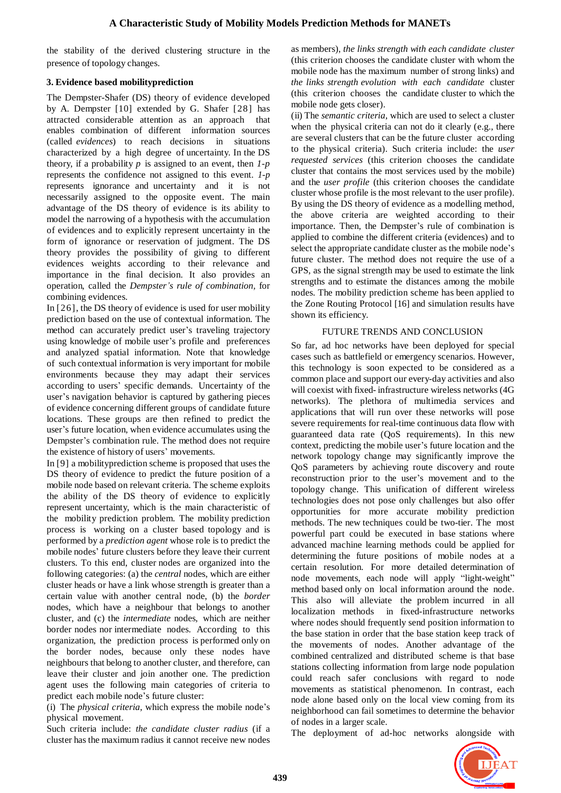the stability of the derived clustering structure in the presence of topology changes.

# **3. Evidence based mobilityprediction**

The Dempster-Shafer (DS) theory of evidence developed by A. Dempster [10] extended by G. Shafer [28] has attracted considerable attention as an approach that enables combination of different information sources (called *evidences*) to reach decisions in situations characterized by a high degree of uncertainty. In the DS theory, if a probability  $p$  is assigned to an event, then  $1-p$ represents the confidence not assigned to this event. *1-p* represents ignorance and uncertainty and it is not necessarily assigned to the opposite event. The main advantage of the DS theory of evidence is its ability to model the narrowing of a hypothesis with the accumulation of evidences and to explicitly represent uncertainty in the form of ignorance or reservation of judgment. The DS theory provides the possibility of giving to different evidences weights according to their relevance and importance in the final decision. It also provides an operation, called the *Dempster's rule of combination,* for combining evidences.

In [26], the DS theory of evidence is used for user mobility prediction based on the use of contextual information. The method can accurately predict user's traveling trajectory using knowledge of mobile user"s profile and preferences and analyzed spatial information. Note that knowledge of such contextual information is very important for mobile environments because they may adapt their services according to users" specific demands. Uncertainty of the user's navigation behavior is captured by gathering pieces of evidence concerning different groups of candidate future locations. These groups are then refined to predict the user"s future location, when evidence accumulates using the Dempster's combination rule. The method does not require the existence of history of users' movements.

In [9] a mobilityprediction scheme is proposed that uses the DS theory of evidence to predict the future position of a mobile node based on relevant criteria. The scheme exploits the ability of the DS theory of evidence to explicitly represent uncertainty, which is the main characteristic of the mobility prediction problem. The mobility prediction process is working on a cluster based topology and is performed by a *prediction agent* whose role is to predict the mobile nodes" future clusters before they leave their current clusters. To this end, cluster nodes are organized into the following categories: (a) the *central* nodes, which are either cluster heads or have a link whose strength is greater than a certain value with another central node, (b) the *border* nodes, which have a neighbour that belongs to another cluster, and (c) the *intermediate* nodes, which are neither border nodes nor intermediate nodes. According to this organization, the prediction process is performed only on the border nodes, because only these nodes have neighbours that belong to another cluster, and therefore, can leave their cluster and join another one. The prediction agent uses the following main categories of criteria to predict each mobile node"s future cluster:

(i) The *physical criteria*, which express the mobile node"s physical movement.

Such criteria include: *the candidate cluster radius* (if a cluster has the maximum radius it cannot receive new nodes as members), *the links strength with each candidate cluster* (this criterion chooses the candidate cluster with whom the mobile node has the maximum number of strong links) and *the links strength evolution with each candidate* cluster (this criterion chooses the candidate cluster to which the mobile node gets closer).

(ii) The *semantic criteria*, which are used to select a cluster when the physical criteria can not do it clearly (e.g., there are several clusters that can be the future cluster according to the physical criteria). Such criteria include: the *user requested services* (this criterion chooses the candidate cluster that contains the most services used by the mobile) and the *user profile* (this criterion chooses the candidate cluster whose profile is the most relevant to the user profile). By using the DS theory of evidence as a modelling method, the above criteria are weighted according to their importance. Then, the Dempster's rule of combination is applied to combine the different criteria (evidences) and to select the appropriate candidate cluster as the mobile node"s future cluster. The method does not require the use of a GPS, as the signal strength may be used to estimate the link strengths and to estimate the distances among the mobile nodes. The mobility prediction scheme has been applied to the Zone Routing Protocol [16] and simulation results have shown its efficiency.

# FUTURE TRENDS AND CONCLUSION

So far, ad hoc networks have been deployed for special cases such as battlefield or emergency scenarios. However, this technology is soon expected to be considered as a common place and support our every-day activities and also will coexist with fixed- infrastructure wireless networks (4G networks). The plethora of multimedia services and applications that will run over these networks will pose severe requirements for real-time continuous data flow with guaranteed data rate (QoS requirements). In this new context, predicting the mobile user"s future location and the network topology change may significantly improve the QoS parameters by achieving route discovery and route reconstruction prior to the user"s movement and to the topology change. This unification of different wireless technologies does not pose only challenges but also offer opportunities for more accurate mobility prediction methods. The new techniques could be two-tier. The most powerful part could be executed in base stations where advanced machine learning methods could be applied for determining the future positions of mobile nodes at a certain resolution. For more detailed determination of node movements, each node will apply "light-weight" method based only on local information around the node. This also will alleviate the problem incurred in all localization methods in fixed-infrastructure networks where nodes should frequently send position information to the base station in order that the base station keep track of the movements of nodes. Another advantage of the combined centralized and distributed scheme is that base stations collecting information from large node population could reach safer conclusions with regard to node movements as statistical phenomenon. In contrast, each node alone based only on the local view coming from its neighborhood can fail sometimes to determine the behavior of nodes in a larger scale.

The deployment of ad-hoc networks alongside with

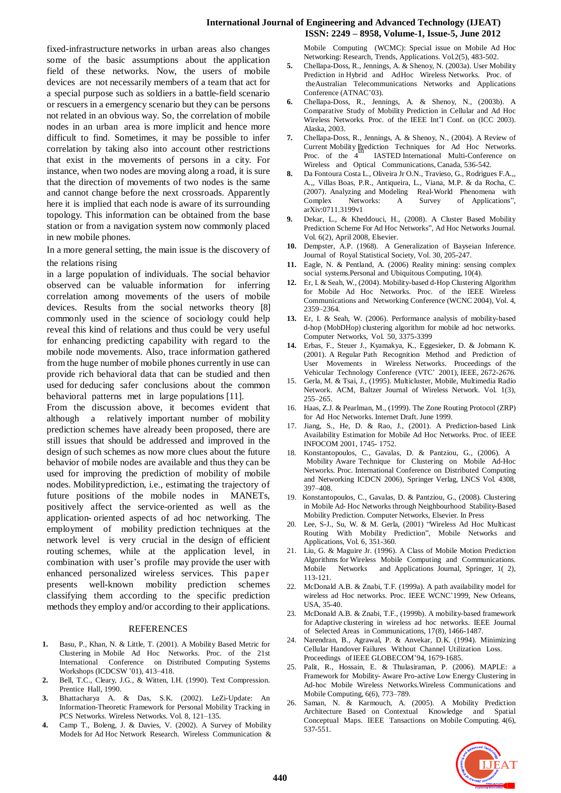## **International Journal of Engineering and Advanced Technology (IJEAT) ISSN: 2249 – 8958, Volume-1, Issue-5, June 2012**

fixed-infrastructure networks in urban areas also changes some of the basic assumptions about the application field of these networks. Now, the users of mobile devices are not necessarily members of a team that act for a special purpose such as soldiers in a battle-field scenario or rescuers in a emergency scenario but they can be persons not related in an obvious way. So, the correlation of mobile nodes in an urban area is more implicit and hence more difficult to find. Sometimes, it may be possible to infer correlation by taking also into account other restrictions that exist in the movements of persons in a city. For instance, when two nodes are moving along a road, it is sure that the direction of movements of two nodes is the same and cannot change before the next crossroads. Apparently here it is implied that each node is aware of its surrounding topology. This information can be obtained from the base station or from a navigation system now commonly placed in new mobile phones.

In a more general setting, the main issue is the discovery of the relations rising

in a large population of individuals. The social behavior observed can be valuable information for inferring correlation among movements of the users of mobile devices. Results from the social networks theory [8] commonly used in the science of sociology could help reveal this kind of relations and thus could be very useful for enhancing predicting capability with regard to the mobile node movements. Also, trace information gathered from the huge number of mobile phones currently in use can provide rich behavioral data that can be studied and then used for deducing safer conclusions about the common behavioral patterns met in large populations [11].

From the discussion above, it becomes evident that although a relatively important number of mobility prediction schemes have already been proposed, there are still issues that should be addressed and improved in the design of such schemes as now more clues about the future behavior of mobile nodes are available and thus they can be used for improving the prediction of mobility of mobile nodes. Mobilityprediction, i.e., estimating the trajectory of future positions of the mobile nodes in MANETs, positively affect the service-oriented as well as the application- oriented aspects of ad hoc networking. The employment of mobility prediction techniques at the network level is very crucial in the design of efficient routing schemes, while at the application level, in combination with user"s profile may provide the user with enhanced personalized wireless services. This paper presents well-known mobility prediction schemes classifying them according to the specific prediction methods they employ and/or according to their applications.

#### REFERENCES

- **1.** Basu, P., Khan, N. & Little, T. (2001). A Mobility Based Metric for Clustering in Mobile Ad Hoc Networks. Proc. of the 21st International Conference on Distributed Computing Systems Workshops (ICDCSW "01), 413–418.
- **2.** Bell, T.C., Cleary, J.G., & Witten, I.H. (1990). Text Compression. Prentice Hall, 1990.
- **3.** Bhattacharya A. & Das, S.K. (2002). LeZi-Update: An Information-Theoretic Framework for Personal Mobility Tracking in PCS Networks. Wireless Networks. Vol. 8, 121–135.
- **4.** Camp T., Boleng, J. & Davies, V. (2002). A Survey of Mobility Models for Ad Hoc Network Research. Wireless Communication &

Mobile Computing (WCMC): Special issue on Mobile Ad Hoc Networking: Research, Trends, Applications. Vol.2(5), 483-502.

- **5.** Chellapa-Doss, R., Jennings, A. & Shenoy, N. (2003a). User Mobility Prediction in Hybrid and AdHoc Wireless Networks. Proc. of theAustralian Telecommunications Networks and Applications Conference (ATNAC'03).
- **6.** Chellapa-Doss, R., Jennings, A. & Shenoy, N., (2003b). A Comparative Study of Mobility Prediction in Cellular and Ad Hoc Wireless Networks. Proc. of the IEEE Int"l Conf. on (ICC 2003). Alaska, 2003.
- **7.** Chellapa-Doss, R., Jennings, A. & Shenoy, N., (2004). A Review of Current Mobility Prediction Techniques for Ad Hoc Networks. th Proc. of the 4 IASTED International Multi-Conference on Wireless and Optical Communications, Canada, 536-542.
- **8.** Da Fontoura Costa L., Oliveira Jr O.N., Travieso, G., Rodrigues F.A.,, A.,, Villas Boas, P.R., Antiqueira, L., Viana, M.P. & da Rocha, C. (2007). Analyzing and Modeling Real-World Phenomena with Complex Networks: A Survey of Applications", arXiv:0711.3199v1
- **9.** Dekar, L., & Kheddouci, H., (2008). A Cluster Based Mobility Prediction Scheme For Ad Hoc Networks", Ad Hoc Networks Journal. Vol. 6(2), April 2008, Elsevier.
- **10.** Dempster, A.P. (1968). A Generalization of Bayseian Inference. Journal of Royal Statistical Society, Vol. 30, 205-247.
- **11.** Eagle, N. & Pentland, A. (2006) Reality mining: sensing complex social systems.Personal and Ubiquitous Computing, 10(4).
- **12.** Er, I. & Seah, W., (2004). Mobility-based d-Hop Clustering Algorithm for Mobile Ad Hoc Networks. Proc. of the IEEE Wireless Communications and Networking Conference (WCNC 2004), Vol. 4, 2359–2364.
- **13.** Er, I. & Seah, W. (2006). Performance analysis of mobility-based d-hop (MobDHop) clustering algorithm for mobile ad hoc networks. Computer Networks, Vol. 50, 3375-3399
- **14.** Erbas, F., Steuer J., Kyamakya, K., Eggesieker, D. & Jobmann K. (2001). A Regular Path Recognition Method and Prediction of User Movements in Wireless Networks. Proceedings of the Vehicular Technology Conference (VTC" 2001), IEEE, 2672-2676.
- 15. Gerla, M. & Tsai, J., (1995). Multicluster, Mobile, Multimedia Radio Network. ACM, Baltzer Journal of Wireless Network. Vol. 1(3), 255–265.
- 16. Haas, Z.J. & Pearlman, M., (1999). The Zone Routing Protocol (ZRP) for Ad Hoc Networks. Internet Draft. June 1999.
- 17. Jiang, S., He, D. & Rao, J., (2001). A Prediction-based Link Availability Estimation for Mobile Ad Hoc Networks. Proc. of IEEE INFOCOM 2001, 1745- 1752.
- 18. Konstantopoulos, C., Gavalas, D. & Pantziou, G., (2006). A Mobility Aware Technique for Clustering on Mobile Ad-Hoc Networks. Proc. International Conference on Distributed Computing and Networking ICDCN 2006), Springer Verlag, LNCS Vol. 4308, 397–408.
- 19. Konstantopoulos, C., Gavalas, D. & Pantziou, G., (2008). Clustering in Mobile Ad- Hoc Networks through Neighbourhood Stability-Based Mobility Prediction. Computer Networks, Elsevier. In Press
- 20. Lee, S-J., Su, W. & M. Gerla, (2001) "Wireless Ad Hoc Multicast Routing With Mobility Prediction", Mobile Networks and Applications, Vol. 6, 351-360.
- 21. Liu, G. & Maguire Jr. (1996). A Class of Mobile Motion Prediction Algorithms for Wireless Mobile Computing and Communications. Mobile Networks and Applications Journal, Springer, 1( 2), 113-121.
- 22. McDonald A.B. & Znabi, T.F. (1999a). A path availability model for wireless ad Hoc networks. Proc. IEEE WCNC"1999, New Orleans, USA, 35-40.
- 23. McDonald A.B. & Znabi, T.F., (1999b). A mobility-based framework for Adaptive clustering in wireless ad hoc networks. IEEE Journal of Selected Areas in Communications, 17(8), 1466-1487.
- 24. Narendran, B., Agrawal, P. & Anvekar, D.K. (1994). Minimizing Cellular Handover Failures Without Channel Utilization Loss. Proceedings of IEEE GLOBECOM"94, 1679-1685.
- 25. Palit, R., Hossain, E. & Thulasiraman, P. (2006). MAPLE: a Framework for Mobility- Aware Pro-active Low Energy Clustering in Ad-hoc Mobile Wireless Networks.Wireless Communications and Mobile Computing, 6(6), 773–789.
- Saman, N. & Karmouch, A. (2005). A Mobility Prediction Architecture Based on Contextual Knowledge and Spatial Conceptual Maps. IEEE Tansactions on Mobile Computing. 4(6), 537-551.